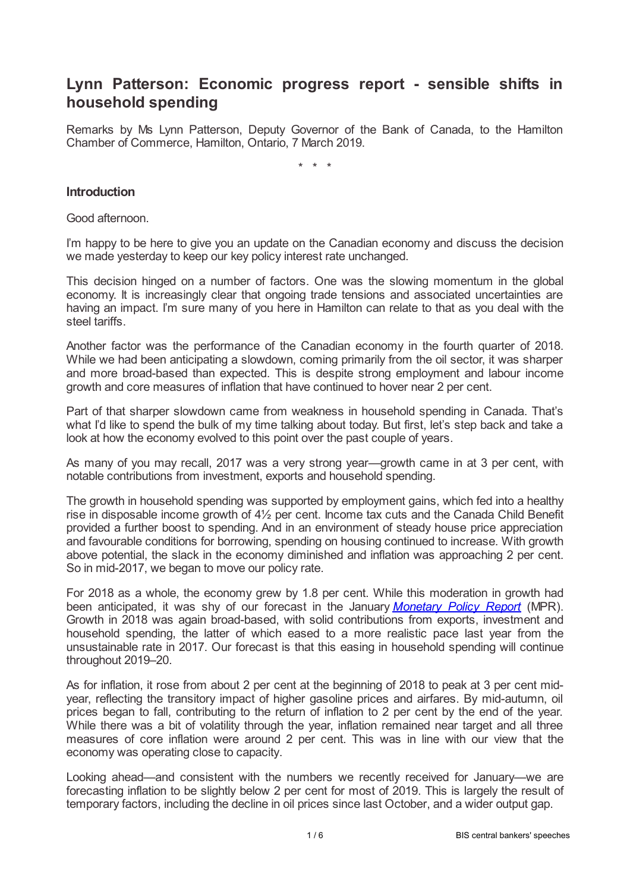# **Lynn Patterson: Economic progress report - sensible shifts in household spending**

Remarks by Ms Lynn Patterson, Deputy Governor of the Bank of Canada, to the Hamilton Chamber of Commerce, Hamilton, Ontario, 7 March 2019.

\* \* \*

#### **Introduction**

Good afternoon.

I'm happy to be here to give you an update on the Canadian economy and discuss the decision we made yesterday to keep our key policy interest rate unchanged.

This decision hinged on a number of factors. One was the slowing momentum in the global economy. It is increasingly clear that ongoing trade tensions and associated uncertainties are having an impact. I'm sure many of you here in Hamilton can relate to that as you deal with the steel tariffs.

Another factor was the performance of the Canadian economy in the fourth quarter of 2018. While we had been anticipating a slowdown, coming primarily from the oil sector, it was sharper and more broad-based than expected. This is despite strong employment and labour income growth and core measures of inflation that have continued to hover near 2 per cent.

Part of that sharper slowdown came from weakness in household spending in Canada. That's what I'd like to spend the bulk of my time talking about today. But first, let's step back and take a look at how the economy evolved to this point over the past couple of years.

As many of you may recall, 2017 was a very strong year—growth came in at 3 per cent, with notable contributions from investment, exports and household spending.

The growth in household spending was supported by employment gains, which fed into a healthy rise in disposable income growth of 4½ per cent. Income tax cuts and the Canada Child Benefit provided a further boost to spending. And in an environment of steady house price appreciation and favourable conditions for borrowing, spending on housing continued to increase. With growth above potential, the slack in the economy diminished and inflation was approaching 2 per cent. So in mid-2017, we began to move our policy rate.

For 2018 as a whole, the economy grew by 1.8 per cent. While this moderation in growth had been anticipated, it was shy of our forecast in the January *[Monetary](www.bankofcanada.ca/2019/01/mpr-2019?01-09/) Policy Report* (MPR). Growth in 2018 was again broad-based, with solid contributions from exports, investment and household spending, the latter of which eased to a more realistic pace last year from the unsustainable rate in 2017. Our forecast is that this easing in household spending will continue throughout 2019–20.

As for inflation, it rose from about 2 per cent at the beginning of 2018 to peak at 3 per cent midyear, reflecting the transitory impact of higher gasoline prices and airfares. By mid-autumn, oil prices began to fall, contributing to the return of inflation to 2 per cent by the end of the year. While there was a bit of volatility through the year, inflation remained near target and all three measures of core inflation were around 2 per cent. This was in line with our view that the economy was operating close to capacity.

Looking ahead—and consistent with the numbers we recently received for January—we are forecasting inflation to be slightly below 2 per cent for most of 2019. This is largely the result of temporary factors, including the decline in oil prices since last October, and a wider output gap.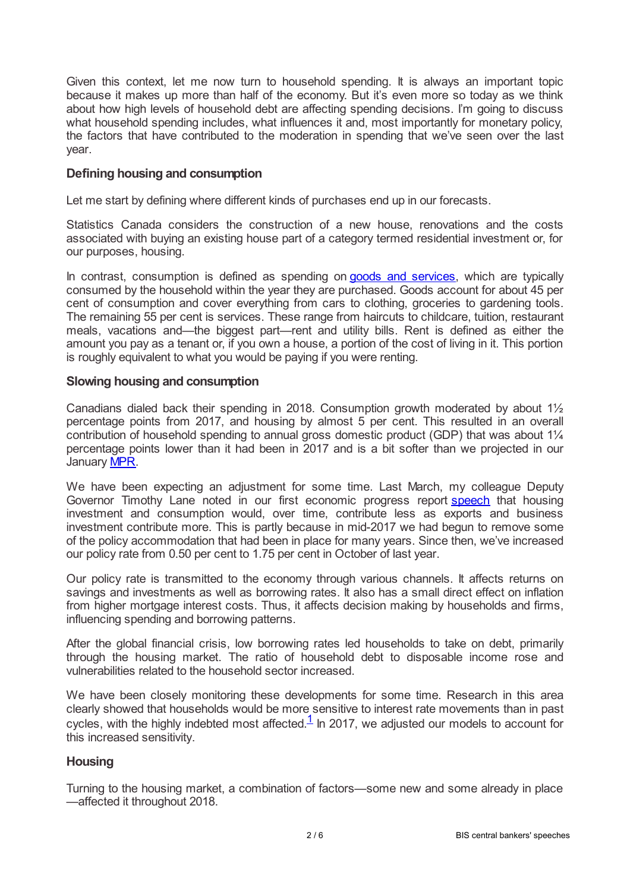Given this context, let me now turn to household spending. It is always an important topic because it makes up more than half of the economy. But it's even more so today as we think about how high levels of household debt are affecting spending decisions. I'm going to discuss what household spending includes, what influences it and, most importantly for monetary policy, the factors that have contributed to the moderation in spending that we've seen over the last year.

## **Defining housing and consumption**

Let me start by defining where different kinds of purchases end up in our forecasts.

Statistics Canada considers the construction of a new house, renovations and the costs associated with buying an existing house part of a category termed residential investment or, for our purposes, housing.

In contrast, consumption is defined as spending on goods and [services](www150.statcan.gc.ca/n1/pub/13?607-x/2016001/233-eng.htm), which are typically consumed by the household within the year they are purchased. Goods account for about 45 per cent of consumption and cover everything from cars to clothing, groceries to gardening tools. The remaining 55 per cent is services. These range from haircuts to childcare, tuition, restaurant meals, vacations and—the biggest part—rent and utility bills. Rent is defined as either the amount you pay as a tenant or, if you own a house, a portion of the cost of living in it. This portion is roughly equivalent to what you would be paying if you were renting.

#### **Slowing housing and consumption**

Canadians dialed back their spending in 2018. Consumption growth moderated by about 1½ percentage points from 2017, and housing by almost 5 per cent. This resulted in an overall contribution of household spending to annual gross domestic product (GDP) that was about 1¼ percentage points lower than it had been in 2017 and is a bit softer than we projected in our January [MPR.](www.bankofcanada.ca/wp-content/uploads/2019/01/mpr-2019?01-09.pdf)

We have been expecting an adjustment for some time. Last March, my colleague Deputy Governor Timothy Lane noted in our first economic progress report [speech](www.bankofcanada.ca/2018/03/canadas-economic-expansion-a-progress-report/) that housing investment and consumption would, over time, contribute less as exports and business investment contribute more. This is partly because in mid-2017 we had begun to remove some of the policy accommodation that had been in place for many years. Since then, we've increased our policy rate from 0.50 per cent to 1.75 per cent in October of last year.

Our policy rate is transmitted to the economy through various channels. It affects returns on savings and investments as well as borrowing rates. It also has a small direct effect on inflation from higher mortgage interest costs. Thus, it affects decision making by households and firms, influencing spending and borrowing patterns.

After the global financial crisis, low borrowing rates led households to take on debt, primarily through the housing market. The ratio of household debt to disposable income rose and vulnerabilities related to the household sector increased.

<span id="page-1-0"></span>We have been closely monitoring these developments for some time. Research in this area clearly showed that households would be more sensitive to interest rate movements than in past cycles, with the highly indebted most affected. $\frac{1}{1}$  $\frac{1}{1}$  $\frac{1}{1}$  ln 2017, we adjusted our models to account for this increased sensitivity.

#### **Housing**

Turning to the housing market, a combination of factors—some new and some already in place —affected it throughout 2018.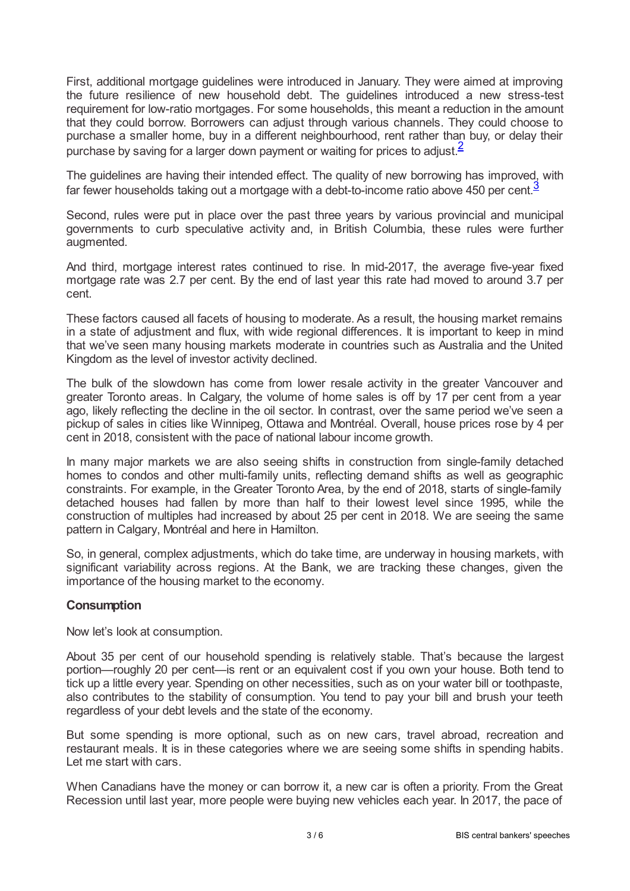First, additional mortgage guidelines were introduced in January. They were aimed at improving the future resilience of new household debt. The guidelines introduced a new stress-test requirement for low-ratio mortgages. For some households, this meant a reduction in the amount that they could borrow. Borrowers can adjust through various channels. They could choose to purchase a smaller home, buy in a different neighbourhood, rent rather than buy, or delay their purchase by saving for a larger down payment or waiting for prices to adjust.<sup>[2](#page-5-1)</sup>

<span id="page-2-1"></span><span id="page-2-0"></span>The guidelines are having their intended effect. The quality of new borrowing has improved, with far fewer households taking out a mortgage with a debt-to-income ratio above 450 per cent. $\frac{3}{2}$  $\frac{3}{2}$  $\frac{3}{2}$ 

Second, rules were put in place over the past three years by various provincial and municipal governments to curb speculative activity and, in British Columbia, these rules were further augmented.

And third, mortgage interest rates continued to rise. In mid-2017, the average five-year fixed mortgage rate was 2.7 per cent. By the end of last year this rate had moved to around 3.7 per cent.

These factors caused all facets of housing to moderate. As a result, the housing market remains in a state of adjustment and flux, with wide regional differences. It is important to keep in mind that we've seen many housing markets moderate in countries such as Australia and the United Kingdom as the level of investor activity declined.

The bulk of the slowdown has come from lower resale activity in the greater Vancouver and greater Toronto areas. In Calgary, the volume of home sales is off by 17 per cent from a year ago, likely reflecting the decline in the oil sector. In contrast, over the same period we've seen a pickup of sales in cities like Winnipeg, Ottawa and Montréal. Overall, house prices rose by 4 per cent in 2018, consistent with the pace of national labour income growth.

In many major markets we are also seeing shifts in construction from single-family detached homes to condos and other multi-family units, reflecting demand shifts as well as geographic constraints. For example, in the Greater Toronto Area, by the end of 2018, starts of single-family detached houses had fallen by more than half to their lowest level since 1995, while the construction of multiples had increased by about 25 per cent in 2018. We are seeing the same pattern in Calgary, Montréal and here in Hamilton.

So, in general, complex adjustments, which do take time, are underway in housing markets, with significant variability across regions. At the Bank, we are tracking these changes, given the importance of the housing market to the economy.

## **Consumption**

Now let's look at consumption.

About 35 per cent of our household spending is relatively stable. That's because the largest portion—roughly 20 per cent—is rent or an equivalent cost if you own your house. Both tend to tick up a little every year. Spending on other necessities, such as on your water bill or toothpaste, also contributes to the stability of consumption. You tend to pay your bill and brush your teeth regardless of your debt levels and the state of the economy.

But some spending is more optional, such as on new cars, travel abroad, recreation and restaurant meals. It is in these categories where we are seeing some shifts in spending habits. Let me start with cars.

When Canadians have the money or can borrow it, a new car is often a priority. From the Great Recession until last year, more people were buying new vehicles each year. In 2017, the pace of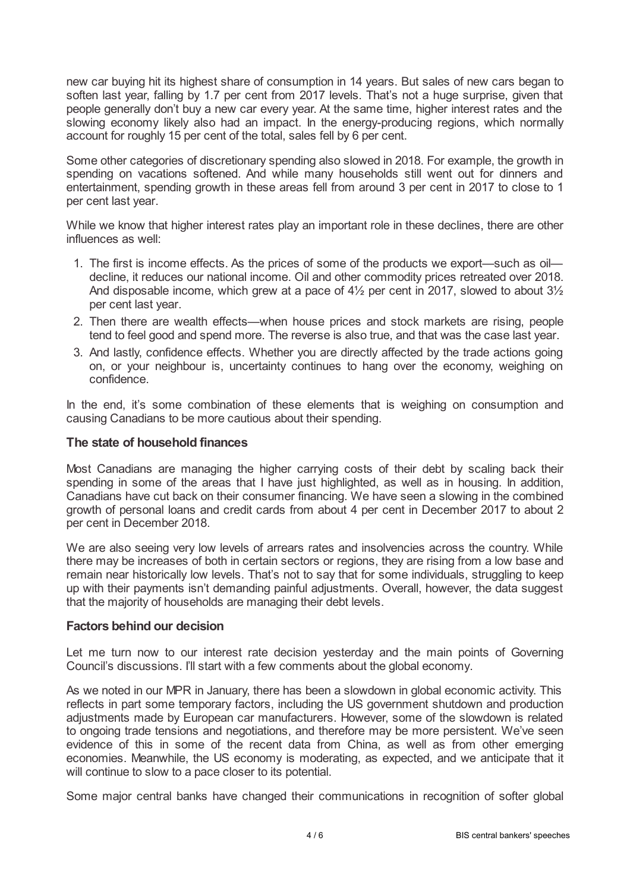new car buying hit its highest share of consumption in 14 years. But sales of new cars began to soften last year, falling by 1.7 per cent from 2017 levels. That's not a huge surprise, given that people generally don't buy a new car every year. At the same time, higher interest rates and the slowing economy likely also had an impact. In the energy-producing regions, which normally account for roughly 15 per cent of the total, sales fell by 6 per cent.

Some other categories of discretionary spending also slowed in 2018. For example, the growth in spending on vacations softened. And while many households still went out for dinners and entertainment, spending growth in these areas fell from around 3 per cent in 2017 to close to 1 per cent last year.

While we know that higher interest rates play an important role in these declines, there are other influences as well:

- 1. The first is income effects. As the prices of some of the products we export—such as oil decline, it reduces our national income. Oil and other commodity prices retreated over 2018. And disposable income, which grew at a pace of  $4\frac{1}{2}$  per cent in 2017, slowed to about  $3\frac{1}{2}$ per cent last year.
- 2. Then there are wealth effects—when house prices and stock markets are rising, people tend to feel good and spend more. The reverse is also true, and that was the case last year.
- 3. And lastly, confidence effects. Whether you are directly affected by the trade actions going on, or your neighbour is, uncertainty continues to hang over the economy, weighing on confidence.

In the end, it's some combination of these elements that is weighing on consumption and causing Canadians to be more cautious about their spending.

#### **The state of household finances**

Most Canadians are managing the higher carrying costs of their debt by scaling back their spending in some of the areas that I have just highlighted, as well as in housing. In addition, Canadians have cut back on their consumer financing. We have seen a slowing in the combined growth of personal loans and credit cards from about 4 per cent in December 2017 to about 2 per cent in December 2018.

We are also seeing very low levels of arrears rates and insolvencies across the country. While there may be increases of both in certain sectors or regions, they are rising from a low base and remain near historically low levels. That's not to say that for some individuals, struggling to keep up with their payments isn't demanding painful adjustments. Overall, however, the data suggest that the majority of households are managing their debt levels.

#### **Factors behind our decision**

Let me turn now to our interest rate decision yesterday and the main points of Governing Council's discussions. I'll start with a few comments about the global economy.

As we noted in our MPR in January, there has been a slowdown in global economic activity. This reflects in part some temporary factors, including the US government shutdown and production adjustments made by European car manufacturers. However, some of the slowdown is related to ongoing trade tensions and negotiations, and therefore may be more persistent. We've seen evidence of this in some of the recent data from China, as well as from other emerging economies. Meanwhile, the US economy is moderating, as expected, and we anticipate that it will continue to slow to a pace closer to its potential.

Some major central banks have changed their communications in recognition of softer global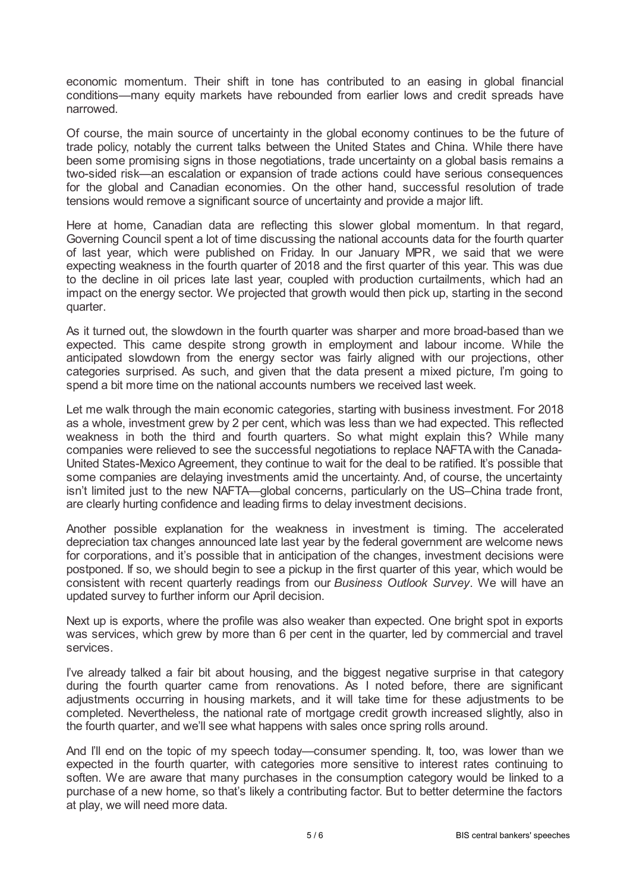economic momentum. Their shift in tone has contributed to an easing in global financial conditions—many equity markets have rebounded from earlier lows and credit spreads have narrowed.

Of course, the main source of uncertainty in the global economy continues to be the future of trade policy, notably the current talks between the United States and China. While there have been some promising signs in those negotiations, trade uncertainty on a global basis remains a two-sided risk—an escalation or expansion of trade actions could have serious consequences for the global and Canadian economies. On the other hand, successful resolution of trade tensions would remove a significant source of uncertainty and provide a major lift.

Here at home, Canadian data are reflecting this slower global momentum. In that regard, Governing Council spent a lot of time discussing the national accounts data for the fourth quarter of last year, which were published on Friday. In our January MPR*,* we said that we were expecting weakness in the fourth quarter of 2018 and the first quarter of this year. This was due to the decline in oil prices late last year, coupled with production curtailments, which had an impact on the energy sector. We projected that growth would then pick up, starting in the second quarter.

As it turned out, the slowdown in the fourth quarter was sharper and more broad-based than we expected. This came despite strong growth in employment and labour income. While the anticipated slowdown from the energy sector was fairly aligned with our projections, other categories surprised. As such, and given that the data present a mixed picture, I'm going to spend a bit more time on the national accounts numbers we received last week.

Let me walk through the main economic categories, starting with business investment. For 2018 as a whole, investment grew by 2 per cent, which was less than we had expected. This reflected weakness in both the third and fourth quarters. So what might explain this? While many companies were relieved to see the successful negotiations to replace NAFTAwith the Canada-United States-Mexico Agreement, they continue to wait for the deal to be ratified. It's possible that some companies are delaying investments amid the uncertainty. And, of course, the uncertainty isn't limited just to the new NAFTA—global concerns, particularly on the US–China trade front, are clearly hurting confidence and leading firms to delay investment decisions.

Another possible explanation for the weakness in investment is timing. The accelerated depreciation tax changes announced late last year by the federal government are welcome news for corporations, and it's possible that in anticipation of the changes, investment decisions were postponed. If so, we should begin to see a pickup in the first quarter of this year, which would be consistent with recent quarterly readings from our *Business Outlook Survey*. We will have an updated survey to further inform our April decision.

Next up is exports, where the profile was also weaker than expected. One bright spot in exports was services, which grew by more than 6 per cent in the quarter, led by commercial and travel services.

I've already talked a fair bit about housing, and the biggest negative surprise in that category during the fourth quarter came from renovations. As I noted before, there are significant adjustments occurring in housing markets, and it will take time for these adjustments to be completed. Nevertheless, the national rate of mortgage credit growth increased slightly, also in the fourth quarter, and we'll see what happens with sales once spring rolls around.

And I'll end on the topic of my speech today—consumer spending. It, too, was lower than we expected in the fourth quarter, with categories more sensitive to interest rates continuing to soften. We are aware that many purchases in the consumption category would be linked to a purchase of a new home, so that's likely a contributing factor. But to better determine the factors at play, we will need more data.